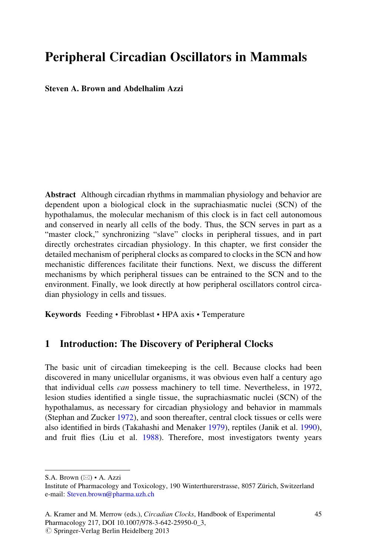# Peripheral Circadian Oscillators in Mammals

Steven A. Brown and Abdelhalim Azzi

Abstract Although circadian rhythms in mammalian physiology and behavior are dependent upon a biological clock in the suprachiasmatic nuclei (SCN) of the hypothalamus, the molecular mechanism of this clock is in fact cell autonomous and conserved in nearly all cells of the body. Thus, the SCN serves in part as a "master clock," synchronizing "slave" clocks in peripheral tissues, and in part directly orchestrates circadian physiology. In this chapter, we first consider the detailed mechanism of peripheral clocks as compared to clocks in the SCN and how mechanistic differences facilitate their functions. Next, we discuss the different mechanisms by which peripheral tissues can be entrained to the SCN and to the environment. Finally, we look directly at how peripheral oscillators control circadian physiology in cells and tissues.

Keywords Feeding • Fibroblast • HPA axis • Temperature

## 1 Introduction: The Discovery of Peripheral Clocks

The basic unit of circadian timekeeping is the cell. Because clocks had been discovered in many unicellular organisms, it was obvious even half a century ago that individual cells can possess machinery to tell time. Nevertheless, in 1972, lesion studies identified a single tissue, the suprachiasmatic nuclei (SCN) of the hypothalamus, as necessary for circadian physiology and behavior in mammals (Stephan and Zucker [1972](#page-20-0)), and soon thereafter, central clock tissues or cells were also identified in birds (Takahashi and Menaker [1979](#page-20-0)), reptiles (Janik et al. [1990\)](#page-17-0), and fruit flies (Liu et al. [1988](#page-18-0)). Therefore, most investigators twenty years

S.A. Brown  $(\boxtimes) \cdot$  A. Azzi

Institute of Pharmacology and Toxicology, 190 Winterthurerstrasse, 8057 Zürich, Switzerland e-mail: [Steven.brown@pharma.uzh.ch](mailto:Steven.brown@pharma.uzh.ch)

A. Kramer and M. Merrow (eds.), Circadian Clocks, Handbook of Experimental Pharmacology 217, DOI 10.1007/978-3-642-25950-0\_3,

 $\oslash$  Springer-Verlag Berlin Heidelberg 2013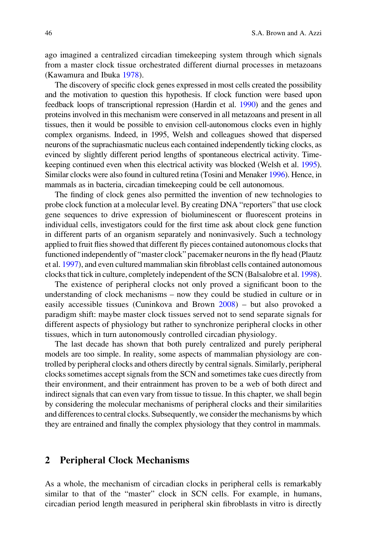ago imagined a centralized circadian timekeeping system through which signals from a master clock tissue orchestrated different diurnal processes in metazoans (Kawamura and Ibuka [1978\)](#page-17-0).

The discovery of specific clock genes expressed in most cells created the possibility and the motivation to question this hypothesis. If clock function were based upon feedback loops of transcriptional repression (Hardin et al. [1990\)](#page-17-0) and the genes and proteins involved in this mechanism were conserved in all metazoans and present in all tissues, then it would be possible to envision cell-autonomous clocks even in highly complex organisms. Indeed, in 1995, Welsh and colleagues showed that dispersed neurons of the suprachiasmatic nucleus each contained independently ticking clocks, as evinced by slightly different period lengths of spontaneous electrical activity. Timekeeping continued even when this electrical activity was blocked (Welsh et al. [1995\)](#page-21-0). Similar clocks were also found in cultured retina (Tosini and Menaker [1996](#page-20-0)). Hence, in mammals as in bacteria, circadian timekeeping could be cell autonomous.

The finding of clock genes also permitted the invention of new technologies to probe clock function at a molecular level. By creating DNA "reporters" that use clock gene sequences to drive expression of bioluminescent or fluorescent proteins in individual cells, investigators could for the first time ask about clock gene function in different parts of an organism separately and noninvasively. Such a technology applied to fruit flies showed that different fly pieces contained autonomous clocks that functioned independently of "master clock" pacemaker neurons in the fly head (Plautz et al. [1997\)](#page-19-0), and even cultured mammalian skin fibroblast cells contained autonomous clocks that tick in culture, completely independent of the SCN (Balsalobre et al. [1998\)](#page-15-0).

The existence of peripheral clocks not only proved a significant boon to the understanding of clock mechanisms – now they could be studied in culture or in easily accessible tissues (Cuninkova and Brown [2008](#page-16-0)) – but also provoked a paradigm shift: maybe master clock tissues served not to send separate signals for different aspects of physiology but rather to synchronize peripheral clocks in other tissues, which in turn autonomously controlled circadian physiology.

The last decade has shown that both purely centralized and purely peripheral models are too simple. In reality, some aspects of mammalian physiology are controlled by peripheral clocks and others directly by central signals. Similarly, peripheral clocks sometimes accept signals from the SCN and sometimes take cues directly from their environment, and their entrainment has proven to be a web of both direct and indirect signals that can even vary from tissue to tissue. In this chapter, we shall begin by considering the molecular mechanisms of peripheral clocks and their similarities and differences to central clocks. Subsequently, we consider the mechanisms by which they are entrained and finally the complex physiology that they control in mammals.

#### 2 Peripheral Clock Mechanisms

As a whole, the mechanism of circadian clocks in peripheral cells is remarkably similar to that of the "master" clock in SCN cells. For example, in humans, circadian period length measured in peripheral skin fibroblasts in vitro is directly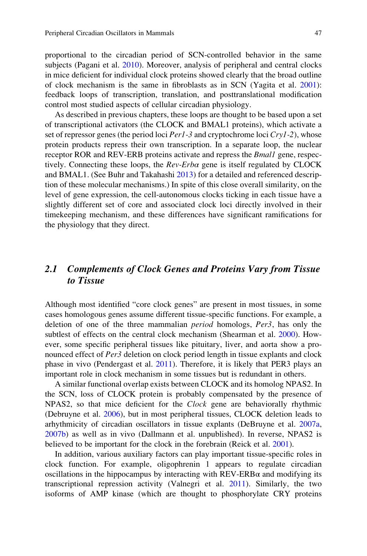proportional to the circadian period of SCN-controlled behavior in the same subjects (Pagani et al. [2010\)](#page-19-0). Moreover, analysis of peripheral and central clocks in mice deficient for individual clock proteins showed clearly that the broad outline of clock mechanism is the same in fibroblasts as in SCN (Yagita et al. [2001](#page-21-0)): feedback loops of transcription, translation, and posttranslational modification control most studied aspects of cellular circadian physiology.

As described in previous chapters, these loops are thought to be based upon a set of transcriptional activators (the CLOCK and BMAL1 proteins), which activate a set of repressor genes (the period loci Per1-3 and cryptochrome loci Cry1-2), whose protein products repress their own transcription. In a separate loop, the nuclear receptor ROR and REV-ERB proteins activate and repress the Bmal1 gene, respectively. Connecting these loops, the  $Rev-Erb\alpha$  gene is itself regulated by CLOCK and BMAL1. (See Buhr and Takahashi [2013\)](#page-16-0) for a detailed and referenced description of these molecular mechanisms.) In spite of this close overall similarity, on the level of gene expression, the cell-autonomous clocks ticking in each tissue have a slightly different set of core and associated clock loci directly involved in their timekeeping mechanism, and these differences have significant ramifications for the physiology that they direct.

# 2.1 Complements of Clock Genes and Proteins Vary from Tissue to Tissue

Although most identified "core clock genes" are present in most tissues, in some cases homologous genes assume different tissue-specific functions. For example, a deletion of one of the three mammalian period homologs, Per3, has only the subtlest of effects on the central clock mechanism (Shearman et al. [2000\)](#page-20-0). However, some specific peripheral tissues like pituitary, liver, and aorta show a pronounced effect of Per3 deletion on clock period length in tissue explants and clock phase in vivo (Pendergast et al. [2011\)](#page-19-0). Therefore, it is likely that PER3 plays an important role in clock mechanism in some tissues but is redundant in others.

A similar functional overlap exists between CLOCK and its homolog NPAS2. In the SCN, loss of CLOCK protein is probably compensated by the presence of NPAS2, so that mice deficient for the *Clock* gene are behaviorally rhythmic (Debruyne et al. [2006](#page-16-0)), but in most peripheral tissues, CLOCK deletion leads to arhythmicity of circadian oscillators in tissue explants (DeBruyne et al. [2007a](#page-16-0), [2007b\)](#page-16-0) as well as in vivo (Dallmann et al. unpublished). In reverse, NPAS2 is believed to be important for the clock in the forebrain (Reick et al. [2001\)](#page-19-0).

In addition, various auxiliary factors can play important tissue-specific roles in clock function. For example, oligophrenin 1 appears to regulate circadian oscillations in the hippocampus by interacting with  $REV-ERB\alpha$  and modifying its transcriptional repression activity (Valnegri et al. [2011\)](#page-21-0). Similarly, the two isoforms of AMP kinase (which are thought to phosphorylate CRY proteins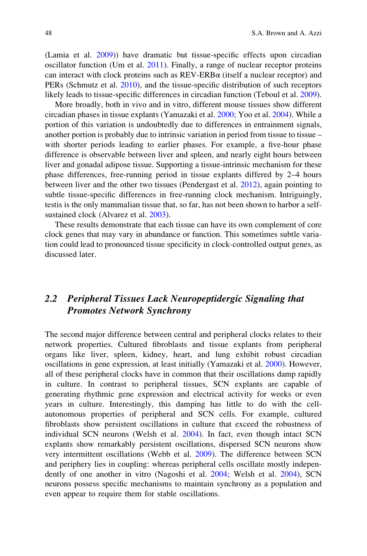(Lamia et al. [2009](#page-18-0))) have dramatic but tissue-specific effects upon circadian oscillator function (Um et al. [2011](#page-21-0)). Finally, a range of nuclear receptor proteins can interact with clock proteins such as  $REV-ERB\alpha$  (itself a nuclear receptor) and PERs (Schmutz et al. [2010](#page-20-0)), and the tissue-specific distribution of such receptors likely leads to tissue-specific differences in circadian function (Teboul et al. [2009\)](#page-20-0).

More broadly, both in vivo and in vitro, different mouse tissues show different circadian phases in tissue explants (Yamazaki et al. [2000](#page-21-0); Yoo et al. [2004](#page-21-0)). While a portion of this variation is undoubtedly due to differences in entrainment signals, another portion is probably due to intrinsic variation in period from tissue to tissue  $$ with shorter periods leading to earlier phases. For example, a five-hour phase difference is observable between liver and spleen, and nearly eight hours between liver and gonadal adipose tissue. Supporting a tissue-intrinsic mechanism for these phase differences, free-running period in tissue explants differed by 2–4 hours between liver and the other two tissues (Pendergast et al. [2012](#page-19-0)), again pointing to subtle tissue-specific differences in free-running clock mechanism. Intriguingly, testis is the only mammalian tissue that, so far, has not been shown to harbor a selfsustained clock (Alvarez et al. [2003\)](#page-15-0).

These results demonstrate that each tissue can have its own complement of core clock genes that may vary in abundance or function. This sometimes subtle variation could lead to pronounced tissue specificity in clock-controlled output genes, as discussed later.

# 2.2 Peripheral Tissues Lack Neuropeptidergic Signaling that Promotes Network Synchrony

The second major difference between central and peripheral clocks relates to their network properties. Cultured fibroblasts and tissue explants from peripheral organs like liver, spleen, kidney, heart, and lung exhibit robust circadian oscillations in gene expression, at least initially (Yamazaki et al. [2000\)](#page-21-0). However, all of these peripheral clocks have in common that their oscillations damp rapidly in culture. In contrast to peripheral tissues, SCN explants are capable of generating rhythmic gene expression and electrical activity for weeks or even years in culture. Interestingly, this damping has little to do with the cellautonomous properties of peripheral and SCN cells. For example, cultured fibroblasts show persistent oscillations in culture that exceed the robustness of individual SCN neurons (Welsh et al. [2004](#page-21-0)). In fact, even though intact SCN explants show remarkably persistent oscillations, dispersed SCN neurons show very intermittent oscillations (Webb et al. [2009\)](#page-21-0). The difference between SCN and periphery lies in coupling: whereas peripheral cells oscillate mostly independently of one another in vitro (Nagoshi et al. [2004](#page-19-0); Welsh et al. [2004\)](#page-21-0), SCN neurons possess specific mechanisms to maintain synchrony as a population and even appear to require them for stable oscillations.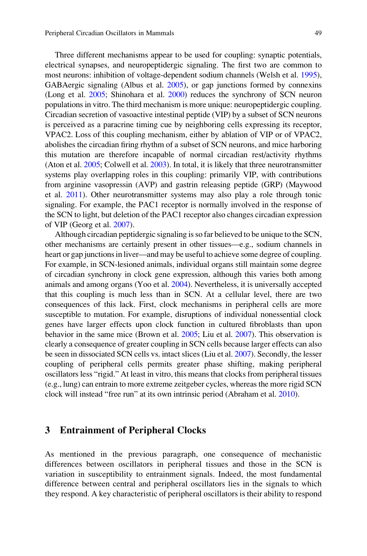Three different mechanisms appear to be used for coupling: synaptic potentials, electrical synapses, and neuropeptidergic signaling. The first two are common to most neurons: inhibition of voltage-dependent sodium channels (Welsh et al. [1995\)](#page-21-0), GABAergic signaling (Albus et al. [2005\)](#page-15-0), or gap junctions formed by connexins (Long et al. [2005](#page-18-0); Shinohara et al. [2000\)](#page-20-0) reduces the synchrony of SCN neuron populations in vitro. The third mechanism is more unique: neuropeptidergic coupling. Circadian secretion of vasoactive intestinal peptide (VIP) by a subset of SCN neurons is perceived as a paracrine timing cue by neighboring cells expressing its receptor, VPAC2. Loss of this coupling mechanism, either by ablation of VIP or of VPAC2, abolishes the circadian firing rhythm of a subset of SCN neurons, and mice harboring this mutation are therefore incapable of normal circadian rest/activity rhythms (Aton et al. [2005](#page-15-0); Colwell et al. [2003\)](#page-16-0). In total, it is likely that three neurotransmitter systems play overlapping roles in this coupling: primarily VIP, with contributions from arginine vasopressin (AVP) and gastrin releasing peptide (GRP) (Maywood et al. [2011\)](#page-18-0). Other neurotransmitter systems may also play a role through tonic signaling. For example, the PAC1 receptor is normally involved in the response of the SCN to light, but deletion of the PAC1 receptor also changes circadian expression of VIP (Georg et al. [2007](#page-17-0)).

Although circadian peptidergic signaling is so far believed to be unique to the SCN, other mechanisms are certainly present in other tissues—e.g., sodium channels in heart or gap junctions in liver—and may be useful to achieve some degree of coupling. For example, in SCN-lesioned animals, individual organs still maintain some degree of circadian synchrony in clock gene expression, although this varies both among animals and among organs (Yoo et al. [2004\)](#page-21-0). Nevertheless, it is universally accepted that this coupling is much less than in SCN. At a cellular level, there are two consequences of this lack. First, clock mechanisms in peripheral cells are more susceptible to mutation. For example, disruptions of individual nonessential clock genes have larger effects upon clock function in cultured fibroblasts than upon behavior in the same mice (Brown et al. [2005;](#page-16-0) Liu et al. [2007](#page-18-0)). This observation is clearly a consequence of greater coupling in SCN cells because larger effects can also be seen in dissociated SCN cells vs. intact slices (Liu et al. [2007\)](#page-18-0). Secondly, the lesser coupling of peripheral cells permits greater phase shifting, making peripheral oscillators less "rigid." At least in vitro, this means that clocks from peripheral tissues (e.g., lung) can entrain to more extreme zeitgeber cycles, whereas the more rigid SCN clock will instead "free run" at its own intrinsic period (Abraham et al. [2010](#page-15-0)).

#### 3 Entrainment of Peripheral Clocks

As mentioned in the previous paragraph, one consequence of mechanistic differences between oscillators in peripheral tissues and those in the SCN is variation in susceptibility to entrainment signals. Indeed, the most fundamental difference between central and peripheral oscillators lies in the signals to which they respond. A key characteristic of peripheral oscillators is their ability to respond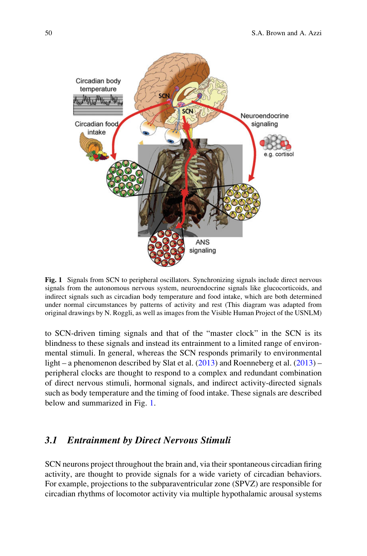

Fig. 1 Signals from SCN to peripheral oscillators. Synchronizing signals include direct nervous signals from the autonomous nervous system, neuroendocrine signals like glucocorticoids, and indirect signals such as circadian body temperature and food intake, which are both determined under normal circumstances by patterns of activity and rest (This diagram was adapted from original drawings by N. Roggli, as well as images from the Visible Human Project of the USNLM)

to SCN-driven timing signals and that of the "master clock" in the SCN is its blindness to these signals and instead its entrainment to a limited range of environmental stimuli. In general, whereas the SCN responds primarily to environmental light – a phenomenon described by Slat et al. ([2013](#page-20-0)) and Roenneberg et al. [\(2013\)](#page-20-0) – peripheral clocks are thought to respond to a complex and redundant combination of direct nervous stimuli, hormonal signals, and indirect activity-directed signals such as body temperature and the timing of food intake. These signals are described below and summarized in Fig. 1.

## 3.1 Entrainment by Direct Nervous Stimuli

SCN neurons project throughout the brain and, via their spontaneous circadian firing activity, are thought to provide signals for a wide variety of circadian behaviors. For example, projections to the subparaventricular zone (SPVZ) are responsible for circadian rhythms of locomotor activity via multiple hypothalamic arousal systems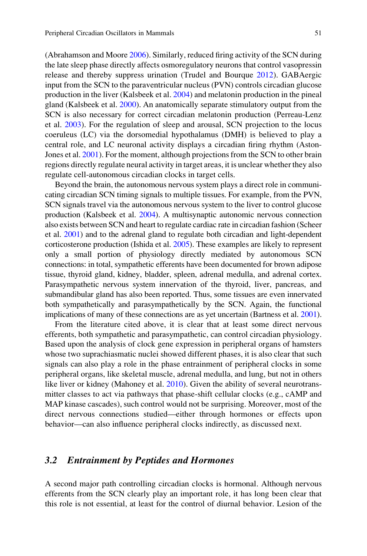(Abrahamson and Moore [2006](#page-15-0)). Similarly, reduced firing activity of the SCN during the late sleep phase directly affects osmoregulatory neurons that control vasopressin release and thereby suppress urination (Trudel and Bourque [2012](#page-20-0)). GABAergic input from the SCN to the paraventricular nucleus (PVN) controls circadian glucose production in the liver (Kalsbeek et al. [2004](#page-17-0)) and melatonin production in the pineal gland (Kalsbeek et al. [2000](#page-17-0)). An anatomically separate stimulatory output from the SCN is also necessary for correct circadian melatonin production (Perreau-Lenz et al. [2003](#page-19-0)). For the regulation of sleep and arousal, SCN projection to the locus coeruleus (LC) via the dorsomedial hypothalamus (DMH) is believed to play a central role, and LC neuronal activity displays a circadian firing rhythm (Aston-Jones et al. [2001\)](#page-15-0). For the moment, although projections from the SCN to other brain regions directly regulate neural activity in target areas, it is unclear whether they also regulate cell-autonomous circadian clocks in target cells.

Beyond the brain, the autonomous nervous system plays a direct role in communicating circadian SCN timing signals to multiple tissues. For example, from the PVN, SCN signals travel via the autonomous nervous system to the liver to control glucose production (Kalsbeek et al. [2004](#page-17-0)). A multisynaptic autonomic nervous connection also exists between SCN and heart to regulate cardiac rate in circadian fashion (Scheer et al. [2001](#page-20-0)) and to the adrenal gland to regulate both circadian and light-dependent corticosterone production (Ishida et al. [2005\)](#page-17-0). These examples are likely to represent only a small portion of physiology directly mediated by autonomous SCN connections: in total, sympathetic efferents have been documented for brown adipose tissue, thyroid gland, kidney, bladder, spleen, adrenal medulla, and adrenal cortex. Parasympathetic nervous system innervation of the thyroid, liver, pancreas, and submandibular gland has also been reported. Thus, some tissues are even innervated both sympathetically and parasympathetically by the SCN. Again, the functional implications of many of these connections are as yet uncertain (Bartness et al. [2001\)](#page-16-0).

From the literature cited above, it is clear that at least some direct nervous efferents, both sympathetic and parasympathetic, can control circadian physiology. Based upon the analysis of clock gene expression in peripheral organs of hamsters whose two suprachiasmatic nuclei showed different phases, it is also clear that such signals can also play a role in the phase entrainment of peripheral clocks in some peripheral organs, like skeletal muscle, adrenal medulla, and lung, but not in others like liver or kidney (Mahoney et al. [2010](#page-18-0)). Given the ability of several neurotransmitter classes to act via pathways that phase-shift cellular clocks (e.g., cAMP and MAP kinase cascades), such control would not be surprising. Moreover, most of the direct nervous connections studied—either through hormones or effects upon behavior—can also influence peripheral clocks indirectly, as discussed next.

#### 3.2 Entrainment by Peptides and Hormones

A second major path controlling circadian clocks is hormonal. Although nervous efferents from the SCN clearly play an important role, it has long been clear that this role is not essential, at least for the control of diurnal behavior. Lesion of the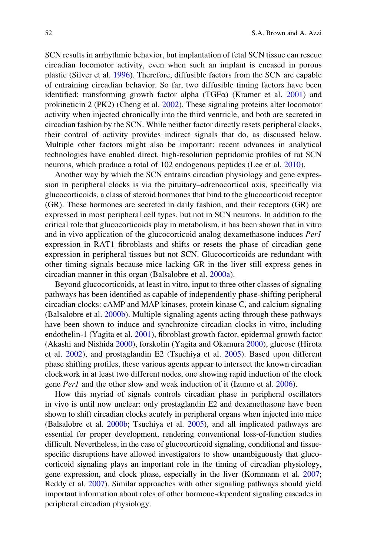SCN results in arrhythmic behavior, but implantation of fetal SCN tissue can rescue circadian locomotor activity, even when such an implant is encased in porous plastic (Silver et al. [1996\)](#page-20-0). Therefore, diffusible factors from the SCN are capable of entraining circadian behavior. So far, two diffusible timing factors have been identified: transforming growth factor alpha ( $TGF\alpha$ ) (Kramer et al. [2001](#page-18-0)) and prokineticin 2 (PK2) (Cheng et al. [2002](#page-16-0)). These signaling proteins alter locomotor activity when injected chronically into the third ventricle, and both are secreted in circadian fashion by the SCN. While neither factor directly resets peripheral clocks, their control of activity provides indirect signals that do, as discussed below. Multiple other factors might also be important: recent advances in analytical technologies have enabled direct, high-resolution peptidomic profiles of rat SCN neurons, which produce a total of 102 endogenous peptides (Lee et al. [2010](#page-18-0)).

Another way by which the SCN entrains circadian physiology and gene expression in peripheral clocks is via the pituitary–adrenocortical axis, specifically via glucocorticoids, a class of steroid hormones that bind to the glucocorticoid receptor (GR). These hormones are secreted in daily fashion, and their receptors (GR) are expressed in most peripheral cell types, but not in SCN neurons. In addition to the critical role that glucocorticoids play in metabolism, it has been shown that in vitro and in vivo application of the glucocorticoid analog dexamethasone induces Per1 expression in RAT1 fibroblasts and shifts or resets the phase of circadian gene expression in peripheral tissues but not SCN. Glucocorticoids are redundant with other timing signals because mice lacking GR in the liver still express genes in circadian manner in this organ (Balsalobre et al. [2000a\)](#page-15-0).

Beyond glucocorticoids, at least in vitro, input to three other classes of signaling pathways has been identified as capable of independently phase-shifting peripheral circadian clocks: cAMP and MAP kinases, protein kinase C, and calcium signaling (Balsalobre et al. [2000b](#page-15-0)). Multiple signaling agents acting through these pathways have been shown to induce and synchronize circadian clocks in vitro, including endothelin-1 (Yagita et al. [2001](#page-21-0)), fibroblast growth factor, epidermal growth factor (Akashi and Nishida [2000\)](#page-15-0), forskolin (Yagita and Okamura [2000](#page-21-0)), glucose (Hirota et al. [2002\)](#page-17-0), and prostaglandin E2 (Tsuchiya et al. [2005](#page-20-0)). Based upon different phase shifting profiles, these various agents appear to intersect the known circadian clockwork in at least two different nodes, one showing rapid induction of the clock gene Per1 and the other slow and weak induction of it (Izumo et al. [2006\)](#page-17-0).

How this myriad of signals controls circadian phase in peripheral oscillators in vivo is until now unclear: only prostaglandin E2 and dexamethasone have been shown to shift circadian clocks acutely in peripheral organs when injected into mice (Balsalobre et al. [2000b;](#page-15-0) Tsuchiya et al. [2005](#page-20-0)), and all implicated pathways are essential for proper development, rendering conventional loss-of-function studies difficult. Nevertheless, in the case of glucocorticoid signaling, conditional and tissuespecific disruptions have allowed investigators to show unambiguously that glucocorticoid signaling plays an important role in the timing of circadian physiology, gene expression, and clock phase, especially in the liver (Kornmann et al. [2007;](#page-18-0) Reddy et al. [2007](#page-19-0)). Similar approaches with other signaling pathways should yield important information about roles of other hormone-dependent signaling cascades in peripheral circadian physiology.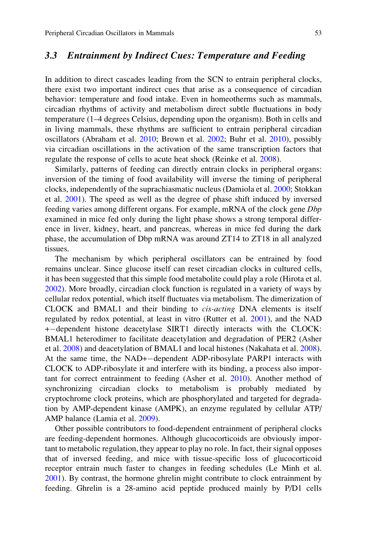#### 3.3 Entrainment by Indirect Cues: Temperature and Feeding

In addition to direct cascades leading from the SCN to entrain peripheral clocks, there exist two important indirect cues that arise as a consequence of circadian behavior: temperature and food intake. Even in homeotherms such as mammals, circadian rhythms of activity and metabolism direct subtle fluctuations in body temperature (1–4 degrees Celsius, depending upon the organism). Both in cells and in living mammals, these rhythms are sufficient to entrain peripheral circadian oscillators (Abraham et al. [2010](#page-15-0); Brown et al. [2002](#page-16-0); Buhr et al. [2010\)](#page-16-0), possibly via circadian oscillations in the activation of the same transcription factors that regulate the response of cells to acute heat shock (Reinke et al. [2008](#page-19-0)).

Similarly, patterns of feeding can directly entrain clocks in peripheral organs: inversion of the timing of food availability will inverse the timing of peripheral clocks, independently of the suprachiasmatic nucleus (Damiola et al. [2000;](#page-16-0) Stokkan et al. [2001\)](#page-20-0). The speed as well as the degree of phase shift induced by inversed feeding varies among different organs. For example, mRNA of the clock gene Dbp examined in mice fed only during the light phase shows a strong temporal difference in liver, kidney, heart, and pancreas, whereas in mice fed during the dark phase, the accumulation of Dbp mRNA was around ZT14 to ZT18 in all analyzed tissues.

The mechanism by which peripheral oscillators can be entrained by food remains unclear. Since glucose itself can reset circadian clocks in cultured cells, it has been suggested that this simple food metabolite could play a role (Hirota et al. [2002\)](#page-17-0). More broadly, circadian clock function is regulated in a variety of ways by cellular redox potential, which itself fluctuates via metabolism. The dimerization of CLOCK and BMAL1 and their binding to cis-acting DNA elements is itself regulated by redox potential, at least in vitro (Rutter et al. [2001](#page-20-0)), and the NAD +dependent histone deacetylase SIRT1 directly interacts with the CLOCK: BMAL1 heterodimer to facilitate deacetylation and degradation of PER2 (Asher et al. [2008\)](#page-15-0) and deacetylation of BMAL1 and local histones (Nakahata et al. [2008\)](#page-19-0). At the same time, the NAD+-dependent ADP-ribosylate PARP1 interacts with CLOCK to ADP-ribosylate it and interfere with its binding, a process also important for correct entrainment to feeding (Asher et al. [2010\)](#page-15-0). Another method of synchronizing circadian clocks to metabolism is probably mediated by cryptochrome clock proteins, which are phosphorylated and targeted for degradation by AMP-dependent kinase (AMPK), an enzyme regulated by cellular ATP/ AMP balance (Lamia et al. [2009](#page-18-0)).

Other possible contributors to food-dependent entrainment of peripheral clocks are feeding-dependent hormones. Although glucocorticoids are obviously important to metabolic regulation, they appear to play no role. In fact, their signal opposes that of inversed feeding, and mice with tissue-specific loss of glucocorticoid receptor entrain much faster to changes in feeding schedules (Le Minh et al. [2001\)](#page-18-0). By contrast, the hormone ghrelin might contribute to clock entrainment by feeding. Ghrelin is a 28-amino acid peptide produced mainly by P/D1 cells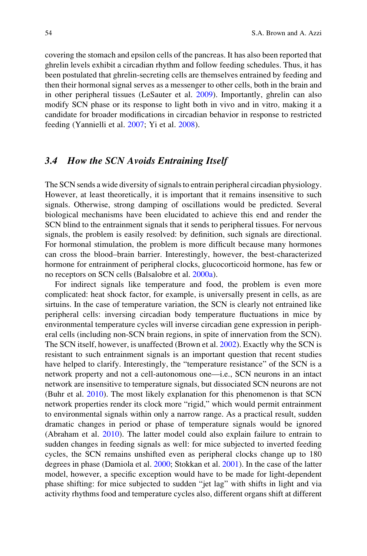covering the stomach and epsilon cells of the pancreas. It has also been reported that ghrelin levels exhibit a circadian rhythm and follow feeding schedules. Thus, it has been postulated that ghrelin-secreting cells are themselves entrained by feeding and then their hormonal signal serves as a messenger to other cells, both in the brain and in other peripheral tissues (LeSauter et al. [2009\)](#page-18-0). Importantly, ghrelin can also modify SCN phase or its response to light both in vivo and in vitro, making it a candidate for broader modifications in circadian behavior in response to restricted feeding (Yannielli et al. [2007;](#page-21-0) Yi et al. [2008\)](#page-21-0).

## 3.4 How the SCN Avoids Entraining Itself

The SCN sends a wide diversity of signals to entrain peripheral circadian physiology. However, at least theoretically, it is important that it remains insensitive to such signals. Otherwise, strong damping of oscillations would be predicted. Several biological mechanisms have been elucidated to achieve this end and render the SCN blind to the entrainment signals that it sends to peripheral tissues. For nervous signals, the problem is easily resolved: by definition, such signals are directional. For hormonal stimulation, the problem is more difficult because many hormones can cross the blood–brain barrier. Interestingly, however, the best-characterized hormone for entrainment of peripheral clocks, glucocorticoid hormone, has few or no receptors on SCN cells (Balsalobre et al. [2000a](#page-15-0)).

For indirect signals like temperature and food, the problem is even more complicated: heat shock factor, for example, is universally present in cells, as are sirtuins. In the case of temperature variation, the SCN is clearly not entrained like peripheral cells: inversing circadian body temperature fluctuations in mice by environmental temperature cycles will inverse circadian gene expression in peripheral cells (including non-SCN brain regions, in spite of innervation from the SCN). The SCN itself, however, is unaffected (Brown et al. [2002](#page-16-0)). Exactly why the SCN is resistant to such entrainment signals is an important question that recent studies have helped to clarify. Interestingly, the "temperature resistance" of the SCN is a network property and not a cell-autonomous one—i.e., SCN neurons in an intact network are insensitive to temperature signals, but dissociated SCN neurons are not (Buhr et al. [2010\)](#page-16-0). The most likely explanation for this phenomenon is that SCN network properties render its clock more "rigid," which would permit entrainment to environmental signals within only a narrow range. As a practical result, sudden dramatic changes in period or phase of temperature signals would be ignored (Abraham et al. [2010\)](#page-15-0). The latter model could also explain failure to entrain to sudden changes in feeding signals as well: for mice subjected to inverted feeding cycles, the SCN remains unshifted even as peripheral clocks change up to 180 degrees in phase (Damiola et al. [2000](#page-16-0); Stokkan et al. [2001](#page-20-0)). In the case of the latter model, however, a specific exception would have to be made for light-dependent phase shifting: for mice subjected to sudden "jet lag" with shifts in light and via activity rhythms food and temperature cycles also, different organs shift at different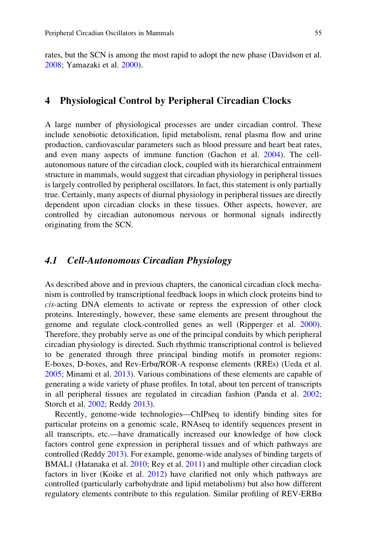rates, but the SCN is among the most rapid to adopt the new phase (Davidson et al. [2008;](#page-16-0) Yamazaki et al. [2000](#page-21-0)).

#### 4 Physiological Control by Peripheral Circadian Clocks

A large number of physiological processes are under circadian control. These include xenobiotic detoxification, lipid metabolism, renal plasma flow and urine production, cardiovascular parameters such as blood pressure and heart beat rates, and even many aspects of immune function (Gachon et al. [2004\)](#page-17-0). The cellautonomous nature of the circadian clock, coupled with its hierarchical entrainment structure in mammals, would suggest that circadian physiology in peripheral tissues is largely controlled by peripheral oscillators. In fact, this statement is only partially true. Certainly, many aspects of diurnal physiology in peripheral tissues are directly dependent upon circadian clocks in these tissues. Other aspects, however, are controlled by circadian autonomous nervous or hormonal signals indirectly originating from the SCN.

## 4.1 Cell-Autonomous Circadian Physiology

As described above and in previous chapters, the canonical circadian clock mechanism is controlled by transcriptional feedback loops in which clock proteins bind to cis-acting DNA elements to activate or repress the expression of other clock proteins. Interestingly, however, these same elements are present throughout the genome and regulate clock-controlled genes as well (Ripperger et al. [2000\)](#page-19-0). Therefore, they probably serve as one of the principal conduits by which peripheral circadian physiology is directed. Such rhythmic transcriptional control is believed to be generated through three principal binding motifs in promoter regions: E-boxes, D-boxes, and Rev-Erbα/ROR-A response elements (RREs) (Ueda et al. [2005;](#page-20-0) Minami et al. [2013](#page-18-0)). Various combinations of these elements are capable of generating a wide variety of phase profiles. In total, about ten percent of transcripts in all peripheral tissues are regulated in circadian fashion (Panda et al. [2002;](#page-19-0) Storch et al. [2002](#page-20-0); Reddy [2013\)](#page-19-0).

Recently, genome-wide technologies—ChIPseq to identify binding sites for particular proteins on a genomic scale, RNAseq to identify sequences present in all transcripts, etc.—have dramatically increased our knowledge of how clock factors control gene expression in peripheral tissues and of which pathways are controlled (Reddy [2013\)](#page-19-0). For example, genome-wide analyses of binding targets of BMAL1 (Hatanaka et al. [2010](#page-17-0); Rey et al. [2011](#page-19-0)) and multiple other circadian clock factors in liver (Koike et al. [2012\)](#page-17-0) have clarified not only which pathways are controlled (particularly carbohydrate and lipid metabolism) but also how different regulatory elements contribute to this regulation. Similar profiling of  $REV$ -ERB $\alpha$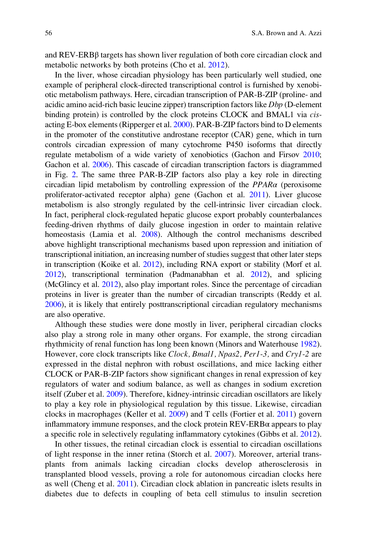and REV-ERBβ targets has shown liver regulation of both core circadian clock and metabolic networks by both proteins (Cho et al. [2012](#page-16-0)).

In the liver, whose circadian physiology has been particularly well studied, one example of peripheral clock-directed transcriptional control is furnished by xenobiotic metabolism pathways. Here, circadian transcription of PAR-B-ZIP (proline- and acidic amino acid-rich basic leucine zipper) transcription factors like Dbp (D-element binding protein) is controlled by the clock proteins CLOCK and BMAL1 via *cis*acting E-box elements (Ripperger et al. [2000](#page-19-0)). PAR-B-ZIP factors bind to D elements in the promoter of the constitutive androstane receptor (CAR) gene, which in turn controls circadian expression of many cytochrome P450 isoforms that directly regulate metabolism of a wide variety of xenobiotics (Gachon and Firsov [2010;](#page-17-0) Gachon et al. [2006](#page-17-0)). This cascade of circadian transcription factors is diagrammed in Fig. [2.](#page-12-0) The same three PAR-B-ZIP factors also play a key role in directing circadian lipid metabolism by controlling expression of the  $PPAR\alpha$  (peroxisome proliferator-activated receptor alpha) gene (Gachon et al. [2011](#page-17-0)). Liver glucose metabolism is also strongly regulated by the cell-intrinsic liver circadian clock. In fact, peripheral clock-regulated hepatic glucose export probably counterbalances feeding-driven rhythms of daily glucose ingestion in order to maintain relative homeostasis (Lamia et al. [2008\)](#page-18-0). Although the control mechanisms described above highlight transcriptional mechanisms based upon repression and initiation of transcriptional initiation, an increasing number of studies suggest that other later steps in transcription (Koike et al. [2012\)](#page-17-0), including RNA export or stability (Morf et al. [2012](#page-19-0)), transcriptional termination (Padmanabhan et al. [2012\)](#page-19-0), and splicing (McGlincy et al. [2012\)](#page-18-0), also play important roles. Since the percentage of circadian proteins in liver is greater than the number of circadian transcripts (Reddy et al. [2006](#page-19-0)), it is likely that entirely posttranscriptional circadian regulatory mechanisms are also operative.

Although these studies were done mostly in liver, peripheral circadian clocks also play a strong role in many other organs. For example, the strong circadian rhythmicity of renal function has long been known (Minors and Waterhouse [1982\)](#page-19-0). However, core clock transcripts like *Clock, Bmal1, Npas2, Per1-3,* and *Cry1-2* are expressed in the distal nephron with robust oscillations, and mice lacking either CLOCK or PAR-B-ZIP factors show significant changes in renal expression of key regulators of water and sodium balance, as well as changes in sodium excretion itself (Zuber et al. [2009](#page-21-0)). Therefore, kidney-intrinsic circadian oscillators are likely to play a key role in physiological regulation by this tissue. Likewise, circadian clocks in macrophages (Keller et al. [2009](#page-17-0)) and T cells (Fortier et al. [2011\)](#page-16-0) govern inflammatory immune responses, and the clock protein  $REV-ERB\alpha$  appears to play a specific role in selectively regulating inflammatory cytokines (Gibbs et al. [2012\)](#page-17-0).

In other tissues, the retinal circadian clock is essential to circadian oscillations of light response in the inner retina (Storch et al. [2007](#page-20-0)). Moreover, arterial transplants from animals lacking circadian clocks develop atherosclerosis in transplanted blood vessels, proving a role for autonomous circadian clocks here as well (Cheng et al. [2011](#page-16-0)). Circadian clock ablation in pancreatic islets results in diabetes due to defects in coupling of beta cell stimulus to insulin secretion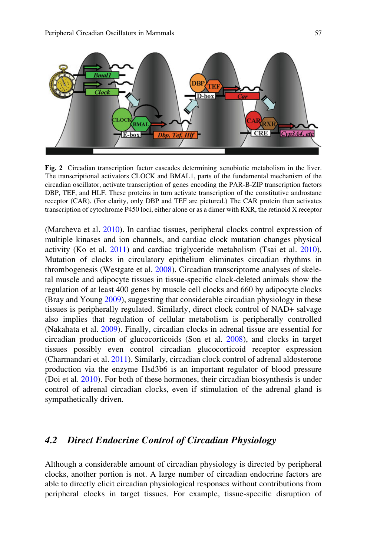<span id="page-12-0"></span>

Fig. 2 Circadian transcription factor cascades determining xenobiotic metabolism in the liver. The transcriptional activators CLOCK and BMAL1, parts of the fundamental mechanism of the circadian oscillator, activate transcription of genes encoding the PAR-B-ZIP transcription factors DBP, TEF, and HLF. These proteins in turn activate transcription of the constitutive androstane receptor (CAR). (For clarity, only DBP and TEF are pictured.) The CAR protein then activates transcription of cytochrome P450 loci, either alone or as a dimer with RXR, the retinoid X receptor

(Marcheva et al. [2010](#page-18-0)). In cardiac tissues, peripheral clocks control expression of multiple kinases and ion channels, and cardiac clock mutation changes physical activity (Ko et al. [2011\)](#page-17-0) and cardiac triglyceride metabolism (Tsai et al. [2010\)](#page-20-0). Mutation of clocks in circulatory epithelium eliminates circadian rhythms in thrombogenesis (Westgate et al. [2008\)](#page-21-0). Circadian transcriptome analyses of skeletal muscle and adipocyte tissues in tissue-specific clock-deleted animals show the regulation of at least 400 genes by muscle cell clocks and 660 by adipocyte clocks (Bray and Young [2009](#page-16-0)), suggesting that considerable circadian physiology in these tissues is peripherally regulated. Similarly, direct clock control of NAD+ salvage also implies that regulation of cellular metabolism is peripherally controlled (Nakahata et al. [2009\)](#page-19-0). Finally, circadian clocks in adrenal tissue are essential for circadian production of glucocorticoids (Son et al. [2008](#page-20-0)), and clocks in target tissues possibly even control circadian glucocorticoid receptor expression (Charmandari et al. [2011](#page-16-0)). Similarly, circadian clock control of adrenal aldosterone production via the enzyme Hsd3b6 is an important regulator of blood pressure (Doi et al. [2010](#page-16-0)). For both of these hormones, their circadian biosynthesis is under control of adrenal circadian clocks, even if stimulation of the adrenal gland is sympathetically driven.

#### 4.2 Direct Endocrine Control of Circadian Physiology

Although a considerable amount of circadian physiology is directed by peripheral clocks, another portion is not. A large number of circadian endocrine factors are able to directly elicit circadian physiological responses without contributions from peripheral clocks in target tissues. For example, tissue-specific disruption of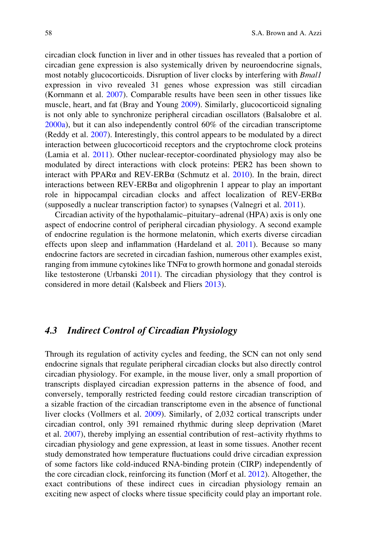circadian clock function in liver and in other tissues has revealed that a portion of circadian gene expression is also systemically driven by neuroendocrine signals, most notably glucocorticoids. Disruption of liver clocks by interfering with Bmal1 expression in vivo revealed 31 genes whose expression was still circadian (Kornmann et al. [2007](#page-18-0)). Comparable results have been seen in other tissues like muscle, heart, and fat (Bray and Young [2009\)](#page-16-0). Similarly, glucocorticoid signaling is not only able to synchronize peripheral circadian oscillators (Balsalobre et al. [2000a](#page-15-0)), but it can also independently control 60% of the circadian transcriptome (Reddy et al. [2007\)](#page-19-0). Interestingly, this control appears to be modulated by a direct interaction between glucocorticoid receptors and the cryptochrome clock proteins (Lamia et al. [2011](#page-18-0)). Other nuclear-receptor-coordinated physiology may also be modulated by direct interactions with clock proteins: PER2 has been shown to interact with PPAR $\alpha$  and REV-ERB $\alpha$  (Schmutz et al. [2010\)](#page-20-0). In the brain, direct interactions between  $REV-ERB\alpha$  and oligophrenin 1 appear to play an important role in hippocampal circadian clocks and affect localization of  $REV$ -ERB $\alpha$ (supposedly a nuclear transcription factor) to synapses (Valnegri et al. [2011](#page-21-0)).

Circadian activity of the hypothalamic–pituitary–adrenal (HPA) axis is only one aspect of endocrine control of peripheral circadian physiology. A second example of endocrine regulation is the hormone melatonin, which exerts diverse circadian effects upon sleep and inflammation (Hardeland et al. [2011](#page-17-0)). Because so many endocrine factors are secreted in circadian fashion, numerous other examples exist, ranging from immune cytokines like  $TNF\alpha$  to growth hormone and gonadal steroids like testosterone (Urbanski [2011](#page-21-0)). The circadian physiology that they control is considered in more detail (Kalsbeek and Fliers [2013](#page-17-0)).

#### 4.3 Indirect Control of Circadian Physiology

Through its regulation of activity cycles and feeding, the SCN can not only send endocrine signals that regulate peripheral circadian clocks but also directly control circadian physiology. For example, in the mouse liver, only a small proportion of transcripts displayed circadian expression patterns in the absence of food, and conversely, temporally restricted feeding could restore circadian transcription of a sizable fraction of the circadian transcriptome even in the absence of functional liver clocks (Vollmers et al. [2009](#page-21-0)). Similarly, of 2,032 cortical transcripts under circadian control, only 391 remained rhythmic during sleep deprivation (Maret et al. [2007\)](#page-18-0), thereby implying an essential contribution of rest–activity rhythms to circadian physiology and gene expression, at least in some tissues. Another recent study demonstrated how temperature fluctuations could drive circadian expression of some factors like cold-induced RNA-binding protein (CIRP) independently of the core circadian clock, reinforcing its function (Morf et al. [2012](#page-19-0)). Altogether, the exact contributions of these indirect cues in circadian physiology remain an exciting new aspect of clocks where tissue specificity could play an important role.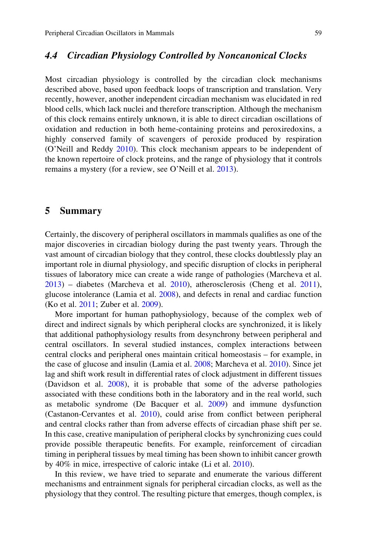#### 4.4 Circadian Physiology Controlled by Noncanonical Clocks

Most circadian physiology is controlled by the circadian clock mechanisms described above, based upon feedback loops of transcription and translation. Very recently, however, another independent circadian mechanism was elucidated in red blood cells, which lack nuclei and therefore transcription. Although the mechanism of this clock remains entirely unknown, it is able to direct circadian oscillations of oxidation and reduction in both heme-containing proteins and peroxiredoxins, a highly conserved family of scavengers of peroxide produced by respiration (O'Neill and Reddy [2010](#page-19-0)). This clock mechanism appears to be independent of the known repertoire of clock proteins, and the range of physiology that it controls remains a mystery (for a review, see O'Neill et al. [2013\)](#page-19-0).

#### 5 Summary

Certainly, the discovery of peripheral oscillators in mammals qualifies as one of the major discoveries in circadian biology during the past twenty years. Through the vast amount of circadian biology that they control, these clocks doubtlessly play an important role in diurnal physiology, and specific disruption of clocks in peripheral tissues of laboratory mice can create a wide range of pathologies (Marcheva et al. [2013\)](#page-18-0) – diabetes (Marcheva et al. [2010](#page-18-0)), atherosclerosis (Cheng et al. [2011\)](#page-16-0), glucose intolerance (Lamia et al. [2008\)](#page-18-0), and defects in renal and cardiac function (Ko et al. [2011;](#page-17-0) Zuber et al. [2009\)](#page-21-0).

More important for human pathophysiology, because of the complex web of direct and indirect signals by which peripheral clocks are synchronized, it is likely that additional pathophysiology results from desynchrony between peripheral and central oscillators. In several studied instances, complex interactions between central clocks and peripheral ones maintain critical homeostasis – for example, in the case of glucose and insulin (Lamia et al. [2008;](#page-18-0) Marcheva et al. [2010](#page-18-0)). Since jet lag and shift work result in differential rates of clock adjustment in different tissues (Davidson et al. [2008](#page-16-0)), it is probable that some of the adverse pathologies associated with these conditions both in the laboratory and in the real world, such as metabolic syndrome (De Bacquer et al. [2009](#page-16-0)) and immune dysfunction (Castanon-Cervantes et al. [2010](#page-16-0)), could arise from conflict between peripheral and central clocks rather than from adverse effects of circadian phase shift per se. In this case, creative manipulation of peripheral clocks by synchronizing cues could provide possible therapeutic benefits. For example, reinforcement of circadian timing in peripheral tissues by meal timing has been shown to inhibit cancer growth by 40% in mice, irrespective of caloric intake (Li et al. [2010\)](#page-18-0).

In this review, we have tried to separate and enumerate the various different mechanisms and entrainment signals for peripheral circadian clocks, as well as the physiology that they control. The resulting picture that emerges, though complex, is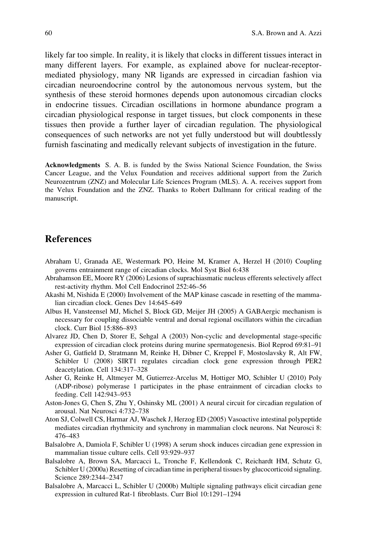<span id="page-15-0"></span>likely far too simple. In reality, it is likely that clocks in different tissues interact in many different layers. For example, as explained above for nuclear-receptormediated physiology, many NR ligands are expressed in circadian fashion via circadian neuroendocrine control by the autonomous nervous system, but the synthesis of these steroid hormones depends upon autonomous circadian clocks in endocrine tissues. Circadian oscillations in hormone abundance program a circadian physiological response in target tissues, but clock components in these tissues then provide a further layer of circadian regulation. The physiological consequences of such networks are not yet fully understood but will doubtlessly furnish fascinating and medically relevant subjects of investigation in the future.

Acknowledgments S. A. B. is funded by the Swiss National Science Foundation, the Swiss Cancer League, and the Velux Foundation and receives additional support from the Zurich Neurozentrum (ZNZ) and Molecular Life Sciences Program (MLS). A. A. receives support from the Velux Foundation and the ZNZ. Thanks to Robert Dallmann for critical reading of the manuscript.

## References

- Abraham U, Granada AE, Westermark PO, Heine M, Kramer A, Herzel H (2010) Coupling governs entrainment range of circadian clocks. Mol Syst Biol 6:438
- Abrahamson EE, Moore RY (2006) Lesions of suprachiasmatic nucleus efferents selectively affect rest-activity rhythm. Mol Cell Endocrinol 252:46–56
- Akashi M, Nishida E (2000) Involvement of the MAP kinase cascade in resetting of the mammalian circadian clock. Genes Dev 14:645–649
- Albus H, Vansteensel MJ, Michel S, Block GD, Meijer JH (2005) A GABAergic mechanism is necessary for coupling dissociable ventral and dorsal regional oscillators within the circadian clock. Curr Biol 15:886–893
- Alvarez JD, Chen D, Storer E, Sehgal A (2003) Non-cyclic and developmental stage-specific expression of circadian clock proteins during murine spermatogenesis. Biol Reprod 69:81–91
- Asher G, Gatfield D, Stratmann M, Reinke H, Dibner C, Kreppel F, Mostoslavsky R, Alt FW, Schibler U (2008) SIRT1 regulates circadian clock gene expression through PER2 deacetylation. Cell 134:317–328
- Asher G, Reinke H, Altmeyer M, Gutierrez-Arcelus M, Hottiger MO, Schibler U (2010) Poly (ADP-ribose) polymerase 1 participates in the phase entrainment of circadian clocks to feeding. Cell 142:943–953
- Aston-Jones G, Chen S, Zhu Y, Oshinsky ML (2001) A neural circuit for circadian regulation of arousal. Nat Neurosci 4:732–738
- Aton SJ, Colwell CS, Harmar AJ, Waschek J, Herzog ED (2005) Vasoactive intestinal polypeptide mediates circadian rhythmicity and synchrony in mammalian clock neurons. Nat Neurosci 8: 476–483
- Balsalobre A, Damiola F, Schibler U (1998) A serum shock induces circadian gene expression in mammalian tissue culture cells. Cell 93:929–937
- Balsalobre A, Brown SA, Marcacci L, Tronche F, Kellendonk C, Reichardt HM, Schutz G, Schibler U (2000a) Resetting of circadian time in peripheral tissues by glucocorticoid signaling. Science 289:2344–2347
- Balsalobre A, Marcacci L, Schibler U (2000b) Multiple signaling pathways elicit circadian gene expression in cultured Rat-1 fibroblasts. Curr Biol 10:1291–1294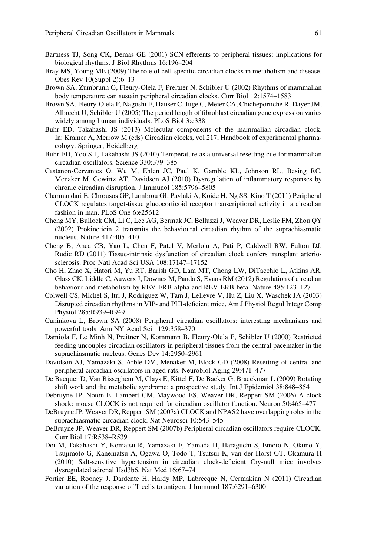- <span id="page-16-0"></span>Bartness TJ, Song CK, Demas GE (2001) SCN efferents to peripheral tissues: implications for biological rhythms. J Biol Rhythms 16:196–204
- Bray MS, Young ME (2009) The role of cell-specific circadian clocks in metabolism and disease. Obes Rev 10(Suppl 2):6–13
- Brown SA, Zumbrunn G, Fleury-Olela F, Preitner N, Schibler U (2002) Rhythms of mammalian body temperature can sustain peripheral circadian clocks. Curr Biol 12:1574–1583
- Brown SA, Fleury-Olela F, Nagoshi E, Hauser C, Juge C, Meier CA, Chicheportiche R, Dayer JM, Albrecht U, Schibler U (2005) The period length of fibroblast circadian gene expression varies widely among human individuals. PLoS Biol 3:e338
- Buhr ED, Takahashi JS (2013) Molecular components of the mammalian circadian clock. In: Kramer A, Merrow M (eds) Circadian clocks, vol 217, Handbook of experimental pharmacology. Springer, Heidelberg
- Buhr ED, Yoo SH, Takahashi JS (2010) Temperature as a universal resetting cue for mammalian circadian oscillators. Science 330:379–385
- Castanon-Cervantes O, Wu M, Ehlen JC, Paul K, Gamble KL, Johnson RL, Besing RC, Menaker M, Gewirtz AT, Davidson AJ (2010) Dysregulation of inflammatory responses by chronic circadian disruption. J Immunol 185:5796–5805
- Charmandari E, Chrousos GP, Lambrou GI, Pavlaki A, Koide H, Ng SS, Kino T (2011) Peripheral CLOCK regulates target-tissue glucocorticoid receptor transcriptional activity in a circadian fashion in man. PLoS One 6:e25612
- Cheng MY, Bullock CM, Li C, Lee AG, Bermak JC, Belluzzi J, Weaver DR, Leslie FM, Zhou QY (2002) Prokineticin 2 transmits the behavioural circadian rhythm of the suprachiasmatic nucleus. Nature 417:405–410
- Cheng B, Anea CB, Yao L, Chen F, Patel V, Merloiu A, Pati P, Caldwell RW, Fulton DJ, Rudic RD (2011) Tissue-intrinsic dysfunction of circadian clock confers transplant arteriosclerosis. Proc Natl Acad Sci USA 108:17147–17152
- Cho H, Zhao X, Hatori M, Yu RT, Barish GD, Lam MT, Chong LW, DiTacchio L, Atkins AR, Glass CK, Liddle C, Auwerx J, Downes M, Panda S, Evans RM (2012) Regulation of circadian behaviour and metabolism by REV-ERB-alpha and REV-ERB-beta. Nature 485:123–127
- Colwell CS, Michel S, Itri J, Rodriguez W, Tam J, Lelievre V, Hu Z, Liu X, Waschek JA (2003) Disrupted circadian rhythms in VIP- and PHI-deficient mice. Am J Physiol Regul Integr Comp Physiol 285:R939–R949
- Cuninkova L, Brown SA (2008) Peripheral circadian oscillators: interesting mechanisms and powerful tools. Ann NY Acad Sci 1129:358–370
- Damiola F, Le Minh N, Preitner N, Kornmann B, Fleury-Olela F, Schibler U (2000) Restricted feeding uncouples circadian oscillators in peripheral tissues from the central pacemaker in the suprachiasmatic nucleus. Genes Dev 14:2950–2961
- Davidson AJ, Yamazaki S, Arble DM, Menaker M, Block GD (2008) Resetting of central and peripheral circadian oscillators in aged rats. Neurobiol Aging 29:471–477
- De Bacquer D, Van Risseghem M, Clays E, Kittel F, De Backer G, Braeckman L (2009) Rotating shift work and the metabolic syndrome: a prospective study. Int J Epidemiol 38:848–854
- Debruyne JP, Noton E, Lambert CM, Maywood ES, Weaver DR, Reppert SM (2006) A clock shock: mouse CLOCK is not required for circadian oscillator function. Neuron 50:465–477
- DeBruyne JP, Weaver DR, Reppert SM (2007a) CLOCK and NPAS2 have overlapping roles in the suprachiasmatic circadian clock. Nat Neurosci 10:543–545
- DeBruyne JP, Weaver DR, Reppert SM (2007b) Peripheral circadian oscillators require CLOCK. Curr Biol 17:R538–R539
- Doi M, Takahashi Y, Komatsu R, Yamazaki F, Yamada H, Haraguchi S, Emoto N, Okuno Y, Tsujimoto G, Kanematsu A, Ogawa O, Todo T, Tsutsui K, van der Horst GT, Okamura H (2010) Salt-sensitive hypertension in circadian clock-deficient Cry-null mice involves dysregulated adrenal Hsd3b6. Nat Med 16:67–74
- Fortier EE, Rooney J, Dardente H, Hardy MP, Labrecque N, Cermakian N (2011) Circadian variation of the response of T cells to antigen. J Immunol 187:6291–6300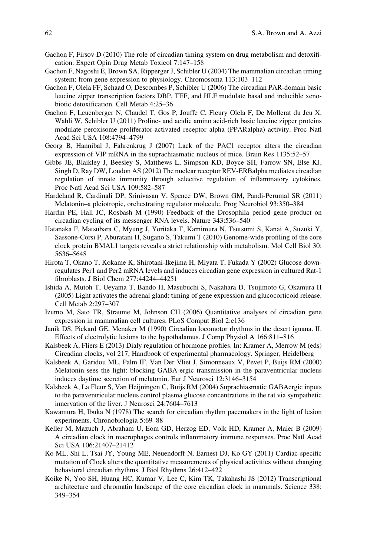- <span id="page-17-0"></span>Gachon F, Firsov D (2010) The role of circadian timing system on drug metabolism and detoxification. Expert Opin Drug Metab Toxicol 7:147–158
- Gachon F, Nagoshi E, Brown SA, Ripperger J, Schibler U (2004) The mammalian circadian timing system: from gene expression to physiology. Chromosoma 113:103–112
- Gachon F, Olela FF, Schaad O, Descombes P, Schibler U (2006) The circadian PAR-domain basic leucine zipper transcription factors DBP, TEF, and HLF modulate basal and inducible xenobiotic detoxification. Cell Metab 4:25–36
- Gachon F, Leuenberger N, Claudel T, Gos P, Jouffe C, Fleury Olela F, De Mollerat du Jeu X, Wahli W, Schibler U (2011) Proline- and acidic amino acid-rich basic leucine zipper proteins modulate peroxisome proliferator-activated receptor alpha (PPARalpha) activity. Proc Natl Acad Sci USA 108:4794–4799
- Georg B, Hannibal J, Fahrenkrug J (2007) Lack of the PAC1 receptor alters the circadian expression of VIP mRNA in the suprachiasmatic nucleus of mice. Brain Res 1135:52–57
- Gibbs JE, Blaikley J, Beesley S, Matthews L, Simpson KD, Boyce SH, Farrow SN, Else KJ, Singh D, Ray DW, Loudon AS (2012) The nuclear receptor REV-ERBalpha mediates circadian regulation of innate immunity through selective regulation of inflammatory cytokines. Proc Natl Acad Sci USA 109:582–587
- Hardeland R, Cardinali DP, Srinivasan V, Spence DW, Brown GM, Pandi-Perumal SR (2011) Melatonin–a pleiotropic, orchestrating regulator molecule. Prog Neurobiol 93:350–384
- Hardin PE, Hall JC, Rosbash M (1990) Feedback of the Drosophila period gene product on circadian cycling of its messenger RNA levels. Nature 343:536–540
- Hatanaka F, Matsubara C, Myung J, Yoritaka T, Kamimura N, Tsutsumi S, Kanai A, Suzuki Y, Sassone-Corsi P, Aburatani H, Sugano S, Takumi T (2010) Genome-wide profiling of the core clock protein BMAL1 targets reveals a strict relationship with metabolism. Mol Cell Biol 30: 5636–5648
- Hirota T, Okano T, Kokame K, Shirotani-Ikejima H, Miyata T, Fukada Y (2002) Glucose downregulates Per1 and Per2 mRNA levels and induces circadian gene expression in cultured Rat-1 fibroblasts. J Biol Chem 277:44244–44251
- Ishida A, Mutoh T, Ueyama T, Bando H, Masubuchi S, Nakahara D, Tsujimoto G, Okamura H (2005) Light activates the adrenal gland: timing of gene expression and glucocorticoid release. Cell Metab 2:297–307
- Izumo M, Sato TR, Straume M, Johnson CH (2006) Quantitative analyses of circadian gene expression in mammalian cell cultures. PLoS Comput Biol 2:e136
- Janik DS, Pickard GE, Menaker M (1990) Circadian locomotor rhythms in the desert iguana. II. Effects of electrolytic lesions to the hypothalamus. J Comp Physiol A 166:811–816
- Kalsbeek A, Fliers E (2013) Dialy regulation of hormone profiles. In: Kramer A, Merrow M (eds) Circadian clocks, vol 217, Handbook of experimental pharmacology. Springer, Heidelberg
- Kalsbeek A, Garidou ML, Palm IF, Van Der Vliet J, Simonneaux V, Pevet P, Buijs RM (2000) Melatonin sees the light: blocking GABA-ergic transmission in the paraventricular nucleus induces daytime secretion of melatonin. Eur J Neurosci 12:3146–3154
- Kalsbeek A, La Fleur S, Van Heijningen C, Buijs RM (2004) Suprachiasmatic GABAergic inputs to the paraventricular nucleus control plasma glucose concentrations in the rat via sympathetic innervation of the liver. J Neurosci 24:7604–7613
- Kawamura H, Ibuka N (1978) The search for circadian rhythm pacemakers in the light of lesion experiments. Chronobiologia 5:69–88
- Keller M, Mazuch J, Abraham U, Eom GD, Herzog ED, Volk HD, Kramer A, Maier B (2009) A circadian clock in macrophages controls inflammatory immune responses. Proc Natl Acad Sci USA 106:21407–21412
- Ko ML, Shi L, Tsai JY, Young ME, Neuendorff N, Earnest DJ, Ko GY (2011) Cardiac-specific mutation of Clock alters the quantitative measurements of physical activities without changing behavioral circadian rhythms. J Biol Rhythms 26:412–422
- Koike N, Yoo SH, Huang HC, Kumar V, Lee C, Kim TK, Takahashi JS (2012) Transcriptional architecture and chromatin landscape of the core circadian clock in mammals. Science 338: 349–354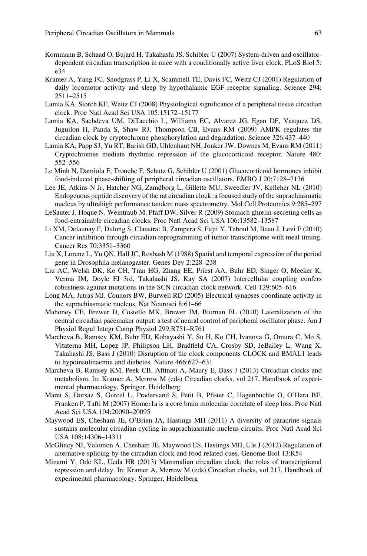- <span id="page-18-0"></span>Kornmann B, Schaad O, Bujard H, Takahashi JS, Schibler U (2007) System-driven and oscillatordependent circadian transcription in mice with a conditionally active liver clock. PLoS Biol 5: e34
- Kramer A, Yang FC, Snodgrass P, Li X, Scammell TE, Davis FC, Weitz CJ (2001) Regulation of daily locomotor activity and sleep by hypothalamic EGF receptor signaling. Science 294: 2511–2515
- Lamia KA, Storch KF, Weitz CJ (2008) Physiological significance of a peripheral tissue circadian clock. Proc Natl Acad Sci USA 105:15172–15177
- Lamia KA, Sachdeva UM, DiTacchio L, Williams EC, Alvarez JG, Egan DF, Vasquez DS, Juguilon H, Panda S, Shaw RJ, Thompson CB, Evans RM (2009) AMPK regulates the circadian clock by cryptochrome phosphorylation and degradation. Science 326:437–440
- Lamia KA, Papp SJ, Yu RT, Barish GD, Uhlenhaut NH, Jonker JW, Downes M, Evans RM (2011) Cryptochromes mediate rhythmic repression of the glucocorticoid receptor. Nature 480: 552–556
- Le Minh N, Damiola F, Tronche F, Schutz G, Schibler U (2001) Glucocorticoid hormones inhibit food-induced phase-shifting of peripheral circadian oscillators. EMBO J 20:7128–7136
- Lee JE, Atkins N Jr, Hatcher NG, Zamdborg L, Gillette MU, Sweedler JV, Kelleher NL (2010) Endogenous peptide discovery of the rat circadian clock: a focused study of the suprachiasmatic nucleus by ultrahigh performance tandem mass spectrometry. Mol Cell Proteomics 9:285–297
- LeSauter J, Hoque N, Weintraub M, Pfaff DW, Silver R (2009) Stomach ghrelin-secreting cells as food-entrainable circadian clocks. Proc Natl Acad Sci USA 106:13582–13587
- Li XM, Delaunay F, Dulong S, Claustrat B, Zampera S, Fujii Y, Teboul M, Beau J, Levi F (2010) Cancer inhibition through circadian reprogramming of tumor transcriptome with meal timing. Cancer Res 70:3351–3360
- Liu X, Lorenz L, Yu QN, Hall JC, Rosbash M (1988) Spatial and temporal expression of the period gene in Drosophila melanogaster. Genes Dev 2:228–238
- Liu AC, Welsh DK, Ko CH, Tran HG, Zhang EE, Priest AA, Buhr ED, Singer O, Meeker K, Verma IM, Doyle FJ 3rd, Takahashi JS, Kay SA (2007) Intercellular coupling confers robustness against mutations in the SCN circadian clock network. Cell 129:605–616
- Long MA, Jutras MJ, Connors BW, Burwell RD (2005) Electrical synapses coordinate activity in the suprachiasmatic nucleus. Nat Neurosci 8:61–66
- Mahoney CE, Brewer D, Costello MK, Brewer JM, Bittman EL (2010) Lateralization of the central circadian pacemaker output: a test of neural control of peripheral oscillator phase. Am J Physiol Regul Integr Comp Physiol 299:R751–R761
- Marcheva B, Ramsey KM, Buhr ED, Kobayashi Y, Su H, Ko CH, Ivanova G, Omura C, Mo S, Vitaterna MH, Lopez JP, Philipson LH, Bradfield CA, Crosby SD, JeBailey L, Wang X, Takahashi JS, Bass J (2010) Disruption of the clock components CLOCK and BMAL1 leads to hypoinsulinaemia and diabetes. Nature 466:627–631
- Marcheva B, Ramsey KM, Peek CB, Affinati A, Maury E, Bass J (2013) Circadian clocks and metabolism. In: Kramer A, Merrow M (eds) Circadian clocks, vol 217, Handbook of experimental pharmacology. Springer, Heidelberg
- Maret S, Dorsaz S, Gurcel L, Pradervand S, Petit B, Pfister C, Hagenbuchle O, O'Hara BF, Franken P, Tafti M (2007) Homer1a is a core brain molecular correlate of sleep loss. Proc Natl Acad Sci USA 104:20090–20095
- Maywood ES, Chesham JE, O'Brien JA, Hastings MH (2011) A diversity of paracrine signals sustains molecular circadian cycling in suprachiasmatic nucleus circuits. Proc Natl Acad Sci USA 108:14306–14311
- McGlincy NJ, Valomon A, Chesham JE, Maywood ES, Hastings MH, Ule J (2012) Regulation of alternative splicing by the circadian clock and food related cues. Genome Biol 13:R54
- Minami Y, Ode KL, Ueda HR (2013) Mammalian circadian clock; the roles of transcriptional repression and delay. In: Kramer A, Merrow M (eds) Circadian clocks, vol 217, Handbook of experimental pharmacology. Springer, Heidelberg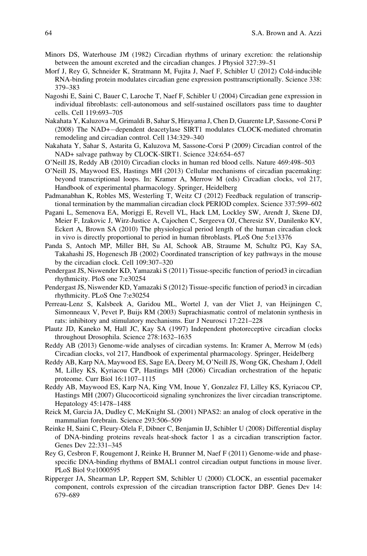- <span id="page-19-0"></span>Minors DS, Waterhouse JM (1982) Circadian rhythms of urinary excretion: the relationship between the amount excreted and the circadian changes. J Physiol 327:39–51
- Morf J, Rey G, Schneider K, Stratmann M, Fujita J, Naef F, Schibler U (2012) Cold-inducible RNA-binding protein modulates circadian gene expression posttranscriptionally. Science 338: 379–383
- Nagoshi E, Saini C, Bauer C, Laroche T, Naef F, Schibler U (2004) Circadian gene expression in individual fibroblasts: cell-autonomous and self-sustained oscillators pass time to daughter cells. Cell 119:693–705
- Nakahata Y, Kaluzova M, Grimaldi B, Sahar S, Hirayama J, Chen D, Guarente LP, Sassone-Corsi P (2008) The NAD+-dependent deacetylase SIRT1 modulates CLOCK-mediated chromatin remodeling and circadian control. Cell 134:329–340
- Nakahata Y, Sahar S, Astarita G, Kaluzova M, Sassone-Corsi P (2009) Circadian control of the NAD+ salvage pathway by CLOCK-SIRT1. Science 324:654–657
- O'Neill JS, Reddy AB (2010) Circadian clocks in human red blood cells. Nature 469:498–503
- O'Neill JS, Maywood ES, Hastings MH (2013) Cellular mechanisms of circadian pacemaking: beyond transcriptional loops. In: Kramer A, Merrow M (eds) Circadian clocks, vol 217, Handbook of experimental pharmacology. Springer, Heidelberg
- Padmanabhan K, Robles MS, Westerling T, Weitz CJ (2012) Feedback regulation of transcriptional termination by the mammalian circadian clock PERIOD complex. Science 337:599–602
- Pagani L, Semenova EA, Moriggi E, Revell VL, Hack LM, Lockley SW, Arendt J, Skene DJ, Meier F, Izakovic J, Wirz-Justice A, Cajochen C, Sergeeva OJ, Cheresiz SV, Danilenko KV, Eckert A, Brown SA (2010) The physiological period length of the human circadian clock in vivo is directly proportional to period in human fibroblasts. PLoS One 5:e13376
- Panda S, Antoch MP, Miller BH, Su AI, Schook AB, Straume M, Schultz PG, Kay SA, Takahashi JS, Hogenesch JB (2002) Coordinated transcription of key pathways in the mouse by the circadian clock. Cell 109:307–320
- Pendergast JS, Niswender KD, Yamazaki S (2011) Tissue-specific function of period3 in circadian rhythmicity. PloS one 7:e30254
- Pendergast JS, Niswender KD, Yamazaki S (2012) Tissue-specific function of period3 in circadian rhythmicity. PLoS One 7:e30254
- Perreau-Lenz S, Kalsbeek A, Garidou ML, Wortel J, van der Vliet J, van Heijningen C, Simonneaux V, Pevet P, Buijs RM (2003) Suprachiasmatic control of melatonin synthesis in rats: inhibitory and stimulatory mechanisms. Eur J Neurosci 17:221–228
- Plautz JD, Kaneko M, Hall JC, Kay SA (1997) Independent photoreceptive circadian clocks throughout Drosophila. Science 278:1632–1635
- Reddy AB (2013) Genome-wide analyses of circadian systems. In: Kramer A, Merrow M (eds) Circadian clocks, vol 217, Handbook of experimental pharmacology. Springer, Heidelberg
- Reddy AB, Karp NA, Maywood ES, Sage EA, Deery M, O'Neill JS, Wong GK, Chesham J, Odell M, Lilley KS, Kyriacou CP, Hastings MH (2006) Circadian orchestration of the hepatic proteome. Curr Biol 16:1107–1115
- Reddy AB, Maywood ES, Karp NA, King VM, Inoue Y, Gonzalez FJ, Lilley KS, Kyriacou CP, Hastings MH (2007) Glucocorticoid signaling synchronizes the liver circadian transcriptome. Hepatology 45:1478–1488
- Reick M, Garcia JA, Dudley C, McKnight SL (2001) NPAS2: an analog of clock operative in the mammalian forebrain. Science 293:506–509
- Reinke H, Saini C, Fleury-Olela F, Dibner C, Benjamin IJ, Schibler U (2008) Differential display of DNA-binding proteins reveals heat-shock factor 1 as a circadian transcription factor. Genes Dev 22:331–345
- Rey G, Cesbron F, Rougemont J, Reinke H, Brunner M, Naef F (2011) Genome-wide and phasespecific DNA-binding rhythms of BMAL1 control circadian output functions in mouse liver. PLoS Biol 9:e1000595
- Ripperger JA, Shearman LP, Reppert SM, Schibler U (2000) CLOCK, an essential pacemaker component, controls expression of the circadian transcription factor DBP. Genes Dev 14: 679–689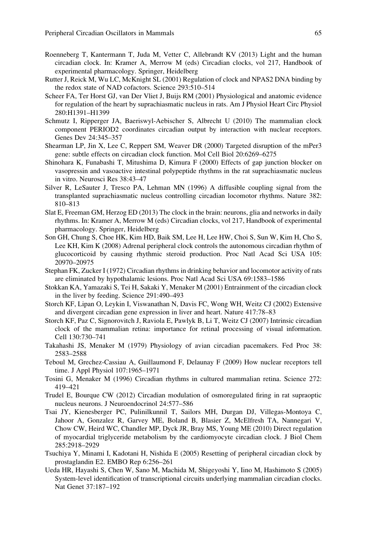- <span id="page-20-0"></span>Roenneberg T, Kantermann T, Juda M, Vetter C, Allebrandt KV (2013) Light and the human circadian clock. In: Kramer A, Merrow M (eds) Circadian clocks, vol 217, Handbook of experimental pharmacology. Springer, Heidelberg
- Rutter J, Reick M, Wu LC, McKnight SL (2001) Regulation of clock and NPAS2 DNA binding by the redox state of NAD cofactors. Science 293:510–514
- Scheer FA, Ter Horst GJ, van Der Vliet J, Buijs RM (2001) Physiological and anatomic evidence for regulation of the heart by suprachiasmatic nucleus in rats. Am J Physiol Heart Circ Physiol 280:H1391–H1399
- Schmutz I, Ripperger JA, Baeriswyl-Aebischer S, Albrecht U (2010) The mammalian clock component PERIOD2 coordinates circadian output by interaction with nuclear receptors. Genes Dev 24:345–357
- Shearman LP, Jin X, Lee C, Reppert SM, Weaver DR (2000) Targeted disruption of the mPer3 gene: subtle effects on circadian clock function. Mol Cell Biol 20:6269–6275
- Shinohara K, Funabashi T, Mitushima D, Kimura F (2000) Effects of gap junction blocker on vasopressin and vasoactive intestinal polypeptide rhythms in the rat suprachiasmatic nucleus in vitro. Neurosci Res 38:43–47
- Silver R, LeSauter J, Tresco PA, Lehman MN (1996) A diffusible coupling signal from the transplanted suprachiasmatic nucleus controlling circadian locomotor rhythms. Nature 382: 810–813
- Slat E, Freeman GM, Herzog ED (2013) The clock in the brain: neurons, glia and networks in daily rhythms. In: Kramer A, Merrow M (eds) Circadian clocks, vol 217, Handbook of experimental pharmacology. Springer, Heidelberg
- Son GH, Chung S, Choe HK, Kim HD, Baik SM, Lee H, Lee HW, Choi S, Sun W, Kim H, Cho S, Lee KH, Kim K (2008) Adrenal peripheral clock controls the autonomous circadian rhythm of glucocorticoid by causing rhythmic steroid production. Proc Natl Acad Sci USA 105: 20970–20975
- Stephan FK, Zucker I (1972) Circadian rhythms in drinking behavior and locomotor activity of rats are eliminated by hypothalamic lesions. Proc Natl Acad Sci USA 69:1583–1586
- Stokkan KA, Yamazaki S, Tei H, Sakaki Y, Menaker M (2001) Entrainment of the circadian clock in the liver by feeding. Science 291:490–493
- Storch KF, Lipan O, Leykin I, Viswanathan N, Davis FC, Wong WH, Weitz CJ (2002) Extensive and divergent circadian gene expression in liver and heart. Nature 417:78–83
- Storch KF, Paz C, Signorovitch J, Raviola E, Pawlyk B, Li T, Weitz CJ (2007) Intrinsic circadian clock of the mammalian retina: importance for retinal processing of visual information. Cell 130:730–741
- Takahashi JS, Menaker M (1979) Physiology of avian circadian pacemakers. Fed Proc 38: 2583–2588
- Teboul M, Grechez-Cassiau A, Guillaumond F, Delaunay F (2009) How nuclear receptors tell time. J Appl Physiol 107:1965–1971
- Tosini G, Menaker M (1996) Circadian rhythms in cultured mammalian retina. Science 272: 419–421
- Trudel E, Bourque CW (2012) Circadian modulation of osmoregulated firing in rat supraoptic nucleus neurons. J Neuroendocrinol 24:577–586
- Tsai JY, Kienesberger PC, Pulinilkunnil T, Sailors MH, Durgan DJ, Villegas-Montoya C, Jahoor A, Gonzalez R, Garvey ME, Boland B, Blasier Z, McElfresh TA, Nannegari V, Chow CW, Heird WC, Chandler MP, Dyck JR, Bray MS, Young ME (2010) Direct regulation of myocardial triglyceride metabolism by the cardiomyocyte circadian clock. J Biol Chem 285:2918–2929
- Tsuchiya Y, Minami I, Kadotani H, Nishida E (2005) Resetting of peripheral circadian clock by prostaglandin E2. EMBO Rep 6:256–261
- Ueda HR, Hayashi S, Chen W, Sano M, Machida M, Shigeyoshi Y, Iino M, Hashimoto S (2005) System-level identification of transcriptional circuits underlying mammalian circadian clocks. Nat Genet 37:187–192